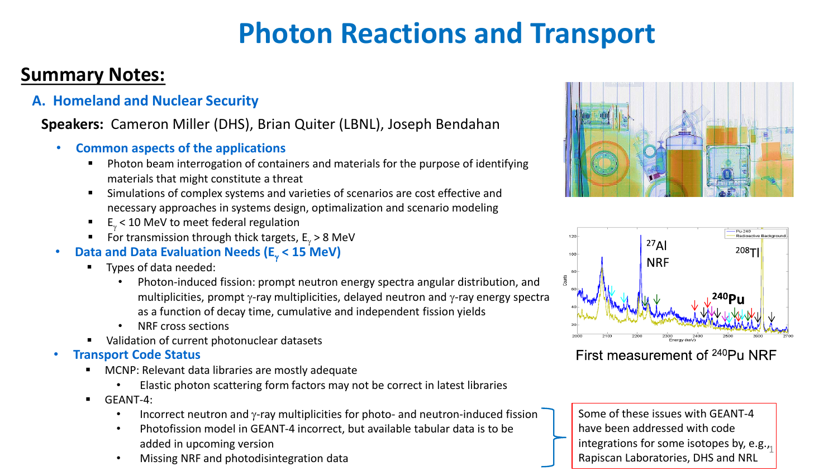### **Summary Notes:**

**A. Homeland and Nuclear Security**

### **Speakers:** Cameron Miller (DHS), Brian Quiter (LBNL), Joseph Bendahan

- **Common aspects of the applications**
	- Photon beam interrogation of containers and materials for the purpose of identifying materials that might constitute a threat
	- Simulations of complex systems and varieties of scenarios are cost effective and necessary approaches in systems design, optimalization and scenario modeling
	- $E_{\gamma}$  < 10 MeV to meet federal regulation
	- For transmission through thick targets,  $E_y > 8$  MeV
- **Data and Data Evaluation Needs (E<sub>y</sub> < 15 MeV)** 
	- Types of data needed:
		- Photon-induced fission: prompt neutron energy spectra angular distribution, and multiplicities, prompt  $\gamma$ -ray multiplicities, delayed neutron and  $\gamma$ -ray energy spectra as a function of decay time, cumulative and independent fission yields
		- NRF cross sections
	- Validation of current photonuclear datasets
- **Transport Code Status**
	- MCNP: Relevant data libraries are mostly adequate
		- Elastic photon scattering form factors may not be correct in latest libraries
	- **■** GEANT-4:
		- Incorrect neutron and  $\gamma$ -ray multiplicities for photo- and neutron-induced fission
		- Photofission model in GEANT-4 incorrect, but available tabular data is to be added in upcoming version
		- Missing NRF and photodisintegration data





First measurement of <sup>240</sup>Pu NRF

integrations for some isotopes by, e.g.,  $\frac{1}{2}$ Some of these issues with GEANT-4 have been addressed with code Rapiscan Laboratories, DHS and NRL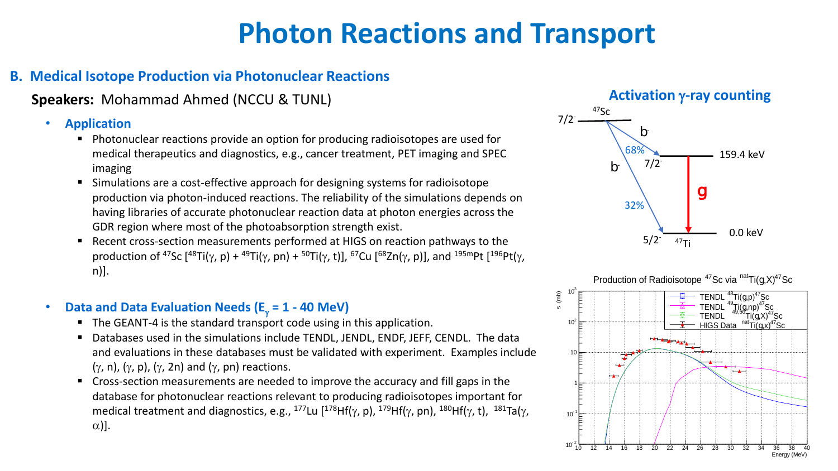### **B. Medical Isotope Production via Photonuclear Reactions**

### **Speakers:** Mohammad Ahmed (NCCU & TUNL)

#### • **Application**

- Photonuclear reactions provide an option for producing radioisotopes are used for medical therapeutics and diagnostics, e.g., cancer treatment, PET imaging and SPEC imaging
- Simulations are a cost-effective approach for designing systems for radioisotope production via photon-induced reactions. The reliability of the simulations depends on having libraries of accurate photonuclear reaction data at photon energies across the GDR region where most of the photoabsorption strength exist.
- Recent cross-section measurements performed at HIGS on reaction pathways to the production of <sup>47</sup>Sc  $[48Ti(\gamma, p) + 49Ti(\gamma, pn) + 50Ti(\gamma, t)]$ ,  $67Cu$   $[68Zn(\gamma, p)]$ , and  $195mPt$   $[196Pt(\gamma,$ n)].

### • **Data and Data Evaluation Needs (** $E_\gamma = 1 - 40$  **MeV)**

- The GEANT-4 is the standard transport code using in this application.
- Databases used in the simulations include TENDL, JENDL, ENDF, JEFF, CENDL. The data and evaluations in these databases must be validated with experiment. Examples include  $(\gamma, n)$ ,  $(\gamma, p)$ ,  $(\gamma, 2n)$  and  $(\gamma, pn)$  reactions.
- Cross-section measurements are needed to improve the accuracy and fill gaps in the database for photonuclear reactions relevant to producing radioisotopes important for medical treatment and diagnostics, e.g., <sup>177</sup>Lu [<sup>178</sup>Hf( $\gamma$ , p), <sup>179</sup>Hf( $\gamma$ , pn), <sup>180</sup>Hf( $\gamma$ , t), <sup>181</sup>Ta( $\gamma$ ,  $\alpha$ )].

#### **Activation** g**-ray counting**



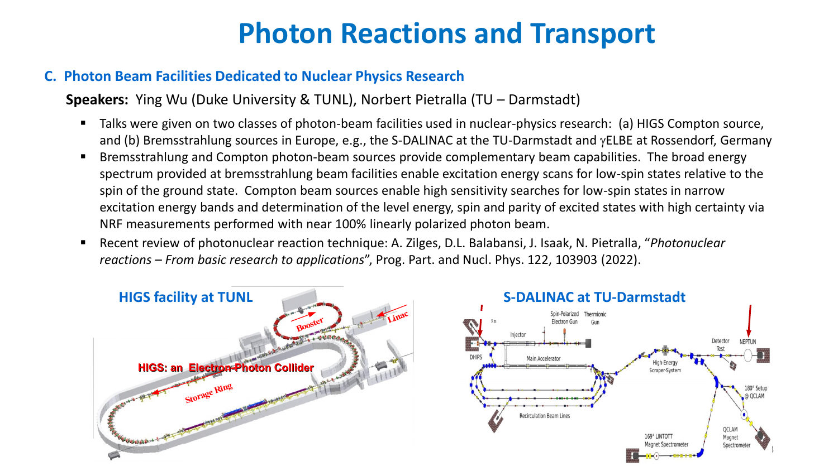#### **C. Photon Beam Facilities Dedicated to Nuclear Physics Research**

**Speakers:** Ying Wu (Duke University & TUNL), Norbert Pietralla (TU – Darmstadt)

- Talks were given on two classes of photon-beam facilities used in nuclear-physics research: (a) HIGS Compton source, and (b) Bremsstrahlung sources in Europe, e.g., the S-DALINAC at the TU-Darmstadt and yELBE at Rossendorf, Germany
- Bremsstrahlung and Compton photon-beam sources provide complementary beam capabilities. The broad energy **Significant and gaint complem procent scanned and complementally scanned partition included energy**<br>spectrum provided at bremsstrahlung beam facilities enable excitation energy scans for low-spin states relative to the spin of the ground state. Compton beam sources enable high sensitivity searches for low-spin states in narrow excitation energy bands and determination of the level energy, spin and parity of excited states with high certainty via NRF measurements performed with near 100% linearly polarized photon beam.
- Recent review of photonuclear reaction technique: A. Zilges, D.L. Balabansi, J. Isaak, N. Pietralla, "Photonuclear reactions – From basic research to applications", Prog. Part. and Nucl. Phys. 122, 103903 (2022). Institution: TUNL *ns* , Prog. Part 160 MeV–1.2 Gev Booster in julian states in de

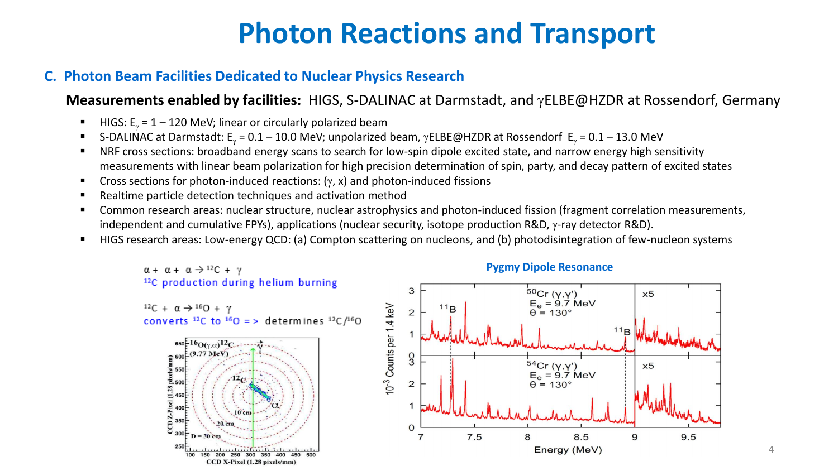#### **C. Photon Beam Facilities Dedicated to Nuclear Physics Research**

### **Measurements enabled by facilities:** HIGS, S-DALINAC at Darmstadt, and gELBE@HZDR at Rossendorf, Germany

- HIGS:  $E_y = 1 120$  MeV; linear or circularly polarized beam
- S-DALINAC at Darmstadt: E<sub>y</sub> = 0.1 10.0 MeV; unpolarized beam,  $\gamma$ ELBE@HZDR at Rossendorf E<sub>y</sub> = 0.1 13.0 MeV
- NRF cross sections: broadband energy scans to search for low-spin dipole excited state, and narrow energy high sensitivity measurements with linear beam polarization for high precision determination of spin, party, and decay pattern of excited states
- **•** Cross sections for photon-induced reactions:  $(y, x)$  and photon-induced fissions
- Realtime particle detection techniques and activation method
- Common research areas: nuclear structure, nuclear astrophysics and photon-induced fission (fragment correlation measurements, independent and cumulative FPYs), applications (nuclear security, isotope production R&D, γ-ray detector R&D).
- HIGS research areas: Low-energy QCD: (a) Compton scattering on nucleons, and (b) photodisintegration of few-nucleon systems



4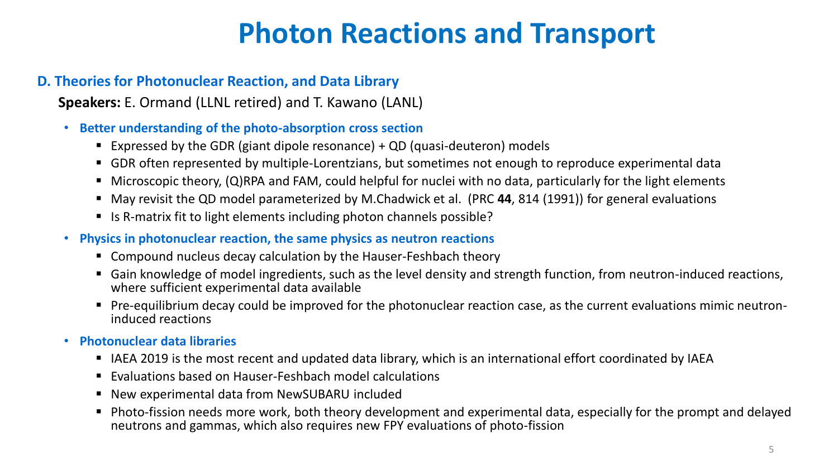### **D. Theories for Photonuclear Reaction, and Data Library**

**Speakers:** E. Ormand (LLNL retired) and T. Kawano (LANL)

- **Better understanding of the photo-absorption cross section**
	- Expressed by the GDR (giant dipole resonance)  $+$  QD (quasi-deuteron) models
	- GDR often represented by multiple-Lorentzians, but sometimes not enough to reproduce experimental data
	- Microscopic theory, (Q)RPA and FAM, could helpful for nuclei with no data, particularly for the light elements
	- May revisit the QD model parameterized by M.Chadwick et al. (PRC 44, 814 (1991)) for general evaluations
	- Is R-matrix fit to light elements including photon channels possible?
- **Physics in photonuclear reaction, the same physics as neutron reactions**
	- Compound nucleus decay calculation by the Hauser-Feshbach theory
	- Gain knowledge of model ingredients, such as the level density and strength function, from neutron-induced reactions, where sufficient experimental data available
	- Pre-equilibrium decay could be improved for the photonuclear reaction case, as the current evaluations mimic neutroninduced reactions
- **Photonuclear data libraries**
	- IAEA 2019 is the most recent and updated data library, which is an international effort coordinated by IAEA
	- Evaluations based on Hauser-Feshbach model calculations
	- New experimental data from NewSUBARU included
	- Photo-fission needs more work, both theory development and experimental data, especially for the prompt and delayed neutrons and gammas, which also requires new FPY evaluations of photo-fission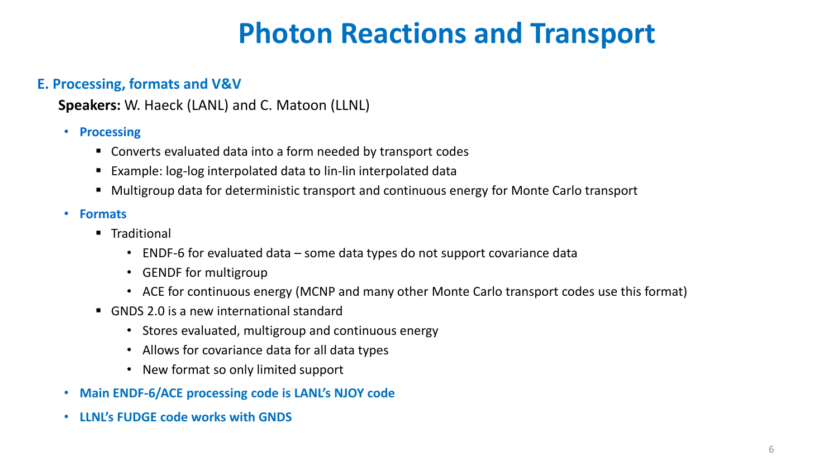#### **E. Processing, formats and V&V**

**Speakers:** W. Haeck (LANL) and C. Matoon (LLNL)

#### • **Processing**

- Converts evaluated data into a form needed by transport codes
- Example: log-log interpolated data to lin-lin interpolated data
- Multigroup data for deterministic transport and continuous energy for Monte Carlo transport

#### • **Formats**

- Traditional
	- ENDF-6 for evaluated data some data types do not support covariance data
	- GENDF for multigroup
	- ACE for continuous energy (MCNP and many other Monte Carlo transport codes use this format)
- GNDS 2.0 is a new international standard
	- Stores evaluated, multigroup and continuous energy
	- Allows for covariance data for all data types
	- New format so only limited support
- **Main ENDF-6/ACE processing code is LANL's NJOY code**
- **LLNL's FUDGE code works with GNDS**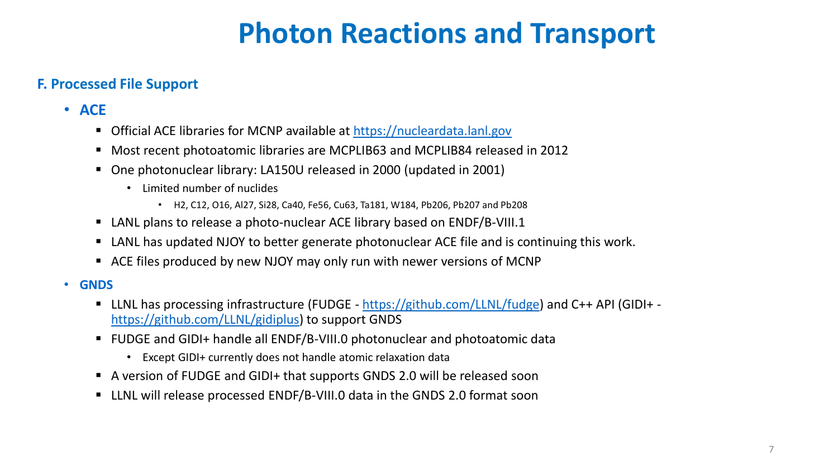### **F. Processed File Support**

- **ACE**
	- Official ACE libraries for MCNP available at [https://nucleardata.lanl.gov](https://nucleardata.lanl.gov/)
	- Most recent photoatomic libraries are MCPLIB63 and MCPLIB84 released in 2012
	- One photonuclear library: LA150U released in 2000 (updated in 2001)
		- Limited number of nuclides
			- H2, C12, O16, Al27, Si28, Ca40, Fe56, Cu63, Ta181, W184, Pb206, Pb207 and Pb208
	- LANL plans to release a photo-nuclear ACE library based on ENDF/B-VIII.1
	- LANL has updated NJOY to better generate photonuclear ACE file and is continuing this work.
	- ACE files produced by new NJOY may only run with newer versions of MCNP
- **GNDS**
	- LLNL has processing infrastructure (FUDGE <https://github.com/LLNL/fudge>) and C++ API (GIDI+ <https://github.com/LLNL/gidiplus>) to support GNDS
	- FUDGE and GIDI+ handle all ENDF/B-VIII.0 photonuclear and photoatomic data
		- Except GIDI+ currently does not handle atomic relaxation data
	- A version of FUDGE and GIDI+ that supports GNDS 2.0 will be released soon
	- LLNL will release processed ENDF/B-VIII.0 data in the GNDS 2.0 format soon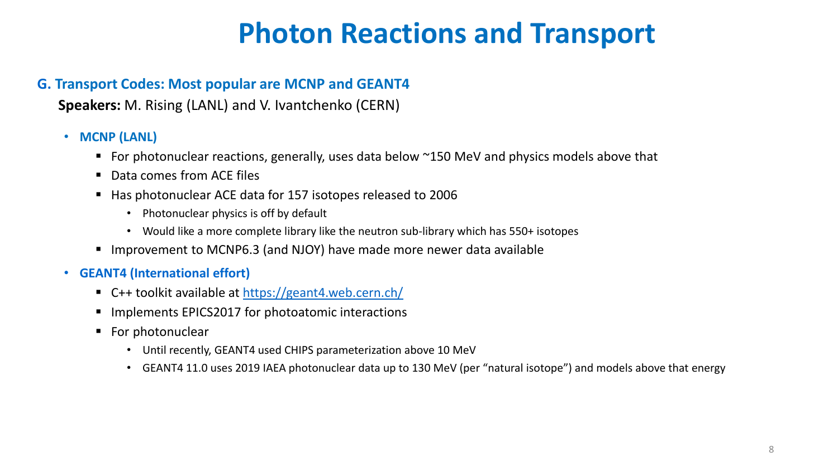#### **G. Transport Codes: Most popular are MCNP and GEANT4**

**Speakers:** M. Rising (LANL) and V. Ivantchenko (CERN)

#### • **MCNP (LANL)**

- For photonuclear reactions, generally, uses data below ~150 MeV and physics models above that
- Data comes from ACE files
- Has photonuclear ACE data for 157 isotopes released to 2006
	- Photonuclear physics is off by default
	- Would like a more complete library like the neutron sub-library which has 550+ isotopes
- Improvement to MCNP6.3 (and NJOY) have made more newer data available

#### • **GEANT4 (International effort)**

- C++ toolkit available at<https://geant4.web.cern.ch/>
- Implements EPICS2017 for photoatomic interactions
- For photonuclear
	- Until recently, GEANT4 used CHIPS parameterization above 10 MeV
	- GEANT4 11.0 uses 2019 IAEA photonuclear data up to 130 MeV (per "natural isotope") and models above that energy